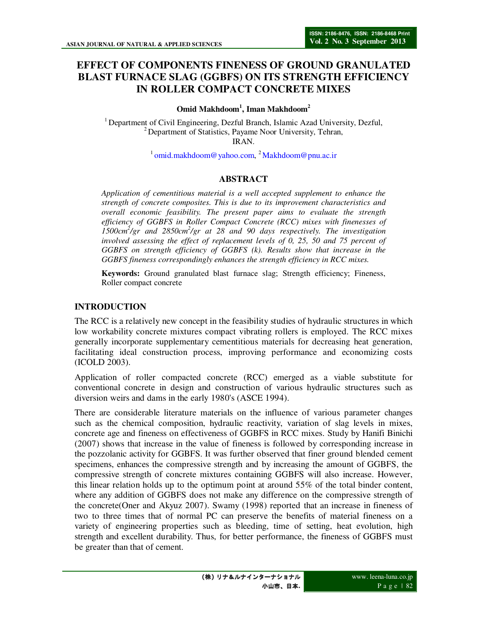# **EFFECT OF COMPONENTS FINENESS OF GROUND GRANULATED BLAST FURNACE SLAG (GGBFS) ON ITS STRENGTH EFFICIENCY IN ROLLER COMPACT CONCRETE MIXES**

### **Omid Makhdoom<sup>1</sup> , Iman Makhdoom<sup>2</sup>**

<sup>1</sup> Department of Civil Engineering, Dezful Branch, Islamic Azad University, Dezful, <sup>2</sup> Department of Statistics, Payame Noor University, Tehran, IRAN.

<sup>1</sup>omid.makhdoom@yahoo.com, <sup>2</sup>Makhdoom@pnu.ac.ir

# **ABSTRACT**

*Application of cementitious material is a well accepted supplement to enhance the strength of concrete composites. This is due to its improvement characteristics and overall economic feasibility. The present paper aims to evaluate the strength efficiency of GGBFS in Roller Compact Concrete (RCC) mixes with finenesses of 1500cm<sup>2</sup> /gr and 2850cm<sup>2</sup> /gr at 28 and 90 days respectively. The investigation involved assessing the effect of replacement levels of 0, 25, 50 and 75 percent of GGBFS on strength efficiency of GGBFS (k). Results show that increase in the GGBFS fineness correspondingly enhances the strength efficiency in RCC mixes.* 

**Keywords:** Ground granulated blast furnace slag; Strength efficiency; Fineness, Roller compact concrete

### **INTRODUCTION**

The RCC is a relatively new concept in the feasibility studies of hydraulic structures in which low workability concrete mixtures compact vibrating rollers is employed. The RCC mixes generally incorporate supplementary cementitious materials for decreasing heat generation, facilitating ideal construction process, improving performance and economizing costs (ICOLD 2003).

Application of roller compacted concrete (RCC) emerged as a viable substitute for conventional concrete in design and construction of various hydraulic structures such as diversion weirs and dams in the early 1980's (ASCE 1994).

There are considerable literature materials on the influence of various parameter changes such as the chemical composition, hydraulic reactivity, variation of slag levels in mixes, concrete age and fineness on effectiveness of GGBFS in RCC mixes. Study by Hanifi Binichi (2007) shows that increase in the value of fineness is followed by corresponding increase in the pozzolanic activity for GGBFS. It was further observed that finer ground blended cement specimens, enhances the compressive strength and by increasing the amount of GGBFS, the compressive strength of concrete mixtures containing GGBFS will also increase. However, this linear relation holds up to the optimum point at around 55% of the total binder content, where any addition of GGBFS does not make any difference on the compressive strength of the concrete(Oner and Akyuz 2007). Swamy (1998) reported that an increase in fineness of two to three times that of normal PC can preserve the benefits of material fineness on a variety of engineering properties such as bleeding, time of setting, heat evolution, high strength and excellent durability. Thus, for better performance, the fineness of GGBFS must be greater than that of cement.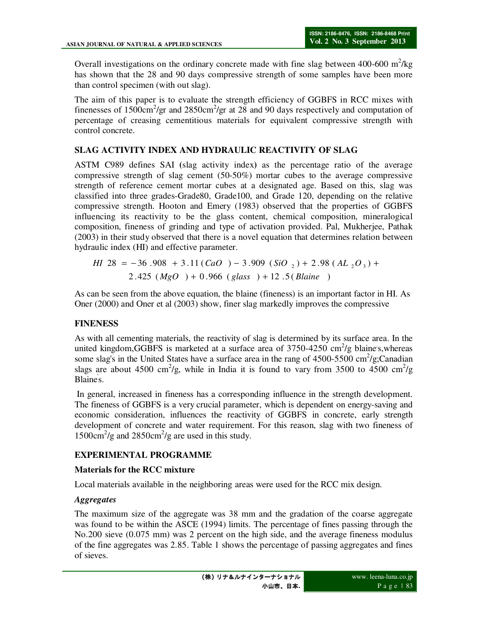Overall investigations on the ordinary concrete made with fine slag between  $400-600 \text{ m}^2/\text{kg}$ has shown that the 28 and 90 days compressive strength of some samples have been more than control specimen (with out slag).

The aim of this paper is to evaluate the strength efficiency of GGBFS in RCC mixes with finenesses of  $1500 \text{cm}^2/\text{gr}$  and  $2850 \text{cm}^2/\text{gr}$  at  $28$  and 90 days respectively and computation of percentage of creasing cementitious materials for equivalent compressive strength with control concrete.

# **SLAG ACTIVITY INDEX AND HYDRAULIC REACTIVITY OF SLAG**

ASTM C989 defines SAI **(**slag activity index**)** as the percentage ratio of the average compressive strength of slag cement (50-50%) mortar cubes to the average compressive strength of reference cement mortar cubes at a designated age. Based on this, slag was classified into three grades-Grade80, Grade100, and Grade 120, depending on the relative compressive strength. Hooton and Emery (1983) observed that the properties of GGBFS influencing its reactivity to be the glass content, chemical composition, mineralogical composition, fineness of grinding and type of activation provided. Pal, Mukherjee, Pathak (2003) in their study observed that there is a novel equation that determines relation between hydraulic index (HI) and effective parameter.

.2 425 ( ) .0 966 ( ) 12 (5. ) 28 36 .908 11.3 ( ) .3 909 ( ) 98.2 ( ) <sup>2</sup> <sup>2</sup> <sup>3</sup> *MgO glass Blaine HI CaO SiO AL O* + + = − + − + +

As can be seen from the above equation, the blaine (fineness) is an important factor in HI. As Oner (2000) and Oner et al (2003) show, finer slag markedly improves the compressive

# **FINENESS**

As with all cementing materials, the reactivity of slag is determined by its surface area. In the united kingdom, GGBFS is marketed at a surface area of  $3750-4250$  cm<sup>2</sup>/g blaine's, whereas some slag's in the United States have a surface area in the rang of  $4500-5500$  cm<sup>2</sup>/g;Canadian slags are about 4500 cm<sup>2</sup>/g, while in India it is found to vary from 3500 to 4500 cm<sup>2</sup>/g Blaine' s.

 In general, increased in fineness has a corresponding influence in the strength development. The fineness of GGBFS is a very crucial parameter, which is dependent on energy-saving and economic consideration, influences the reactivity of GGBFS in concrete, early strength development of concrete and water requirement. For this reason, slag with two fineness of  $1500 \text{cm}^2/\text{g}$  and  $2850 \text{cm}^2/\text{g}$  are used in this study.

# **EXPERIMENTAL PROGRAMME**

# **Materials for the RCC mixture**

Local materials available in the neighboring areas were used for the RCC mix design.

# *Aggregates*

The maximum size of the aggregate was 38 mm and the gradation of the coarse aggregate was found to be within the ASCE (1994) limits. The percentage of fines passing through the No.200 sieve (0.075 mm) was 2 percent on the high side, and the average fineness modulus of the fine aggregates was 2.85. Table 1 shows the percentage of passing aggregates and fines of sieves.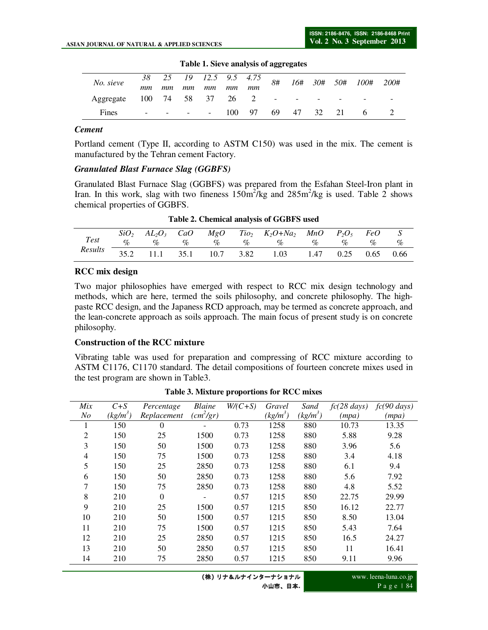| No. sieve |                          |    |                                  |    |    |                           |             |  |   | $\frac{1}{38}$ 25 19 12.5 9.5 4.75 8# 16# 30# 50# 100# 200# |
|-----------|--------------------------|----|----------------------------------|----|----|---------------------------|-------------|--|---|-------------------------------------------------------------|
|           | mm                       | mm | mm                               | mm | mm | mm                        |             |  |   |                                                             |
| Aggregate |                          |    |                                  |    |    | 100 74 58 37 26 2 - - - - |             |  |   |                                                             |
| Fines     | $\overline{\phantom{a}}$ |    | and the contract of the contract |    |    | 100 97                    | 69 47 32 21 |  | 6 |                                                             |

**Table 1. Sieve analysis of aggregates** 

#### *Cement*

Portland cement (Type II, according to ASTM C150) was used in the mix. The cement is manufactured by the Tehran cement Factory.

#### *Granulated Blast Furnace Slag (GGBFS)*

Granulated Blast Furnace Slag (GGBFS) was prepared from the Esfahan Steel-Iron plant in Iran. In this work, slag with two fineness  $150 \text{m}^2/\text{kg}$  and  $285 \text{m}^2/\text{kg}$  is used. Table 2 shows chemical properties of GGBFS.

|         |  |  | $SiO_2$ $AL_2O_3$ CaO $MgO$ Tio <sub>2</sub> $K_2O+Na_2$ MnO $P_2O_5$ FeO S                                                              |  |  |
|---------|--|--|------------------------------------------------------------------------------------------------------------------------------------------|--|--|
|         |  |  | Test $\sigma_0$ $\sigma_0$ $\sigma_0$ $\sigma_0$ $\sigma_0$ $\sigma_0$ $\sigma_0$ $\sigma_0$ $\sigma_0$ $\sigma_0$ $\sigma_0$ $\sigma_0$ |  |  |
| Results |  |  | 35.2 11.1 35.1 10.7 3.82 1.03 1.47 0.25 0.65 0.66                                                                                        |  |  |

**Table 2. Chemical analysis of GGBFS used**

### **RCC mix design**

Two major philosophies have emerged with respect to RCC mix design technology and methods, which are here, termed the soils philosophy, and concrete philosophy. The highpaste RCC design, and the Japaness RCD approach, may be termed as concrete approach, and the lean-concrete approach as soils approach. The main focus of present study is on concrete philosophy.

### **Construction of the RCC mixture**

Vibrating table was used for preparation and compressing of RCC mixture according to ASTM C1176, C1170 standard. The detail compositions of fourteen concrete mixes used in the test program are shown in Table3.

| Mix            | $C + S$    | Percentage   | <b>Blaine</b>         | $W/(C+S)$ | Gravel     | Sand       | $fc(28 \text{ days})$ | $fc(90 \text{ days})$ |
|----------------|------------|--------------|-----------------------|-----------|------------|------------|-----------------------|-----------------------|
| N <sub>O</sub> | $(kg/m^3)$ | Replacement  | (cm <sup>2</sup> /gr) |           | $(kg/m^3)$ | $(kg/m^3)$ | (mpa)                 | (mpa)                 |
|                | 150        | $\Omega$     |                       | 0.73      | 1258       | 880        | 10.73                 | 13.35                 |
| $\overline{2}$ | 150        | 25           | 1500                  | 0.73      | 1258       | 880        | 5.88                  | 9.28                  |
| 3              | 150        | 50           | 1500                  | 0.73      | 1258       | 880        | 3.96                  | 5.6                   |
| 4              | 150        | 75           | 1500                  | 0.73      | 1258       | 880        | 3.4                   | 4.18                  |
| 5              | 150        | 25           | 2850                  | 0.73      | 1258       | 880        | 6.1                   | 9.4                   |
| 6              | 150        | 50           | 2850                  | 0.73      | 1258       | 880        | 5.6                   | 7.92                  |
| 7              | 150        | 75           | 2850                  | 0.73      | 1258       | 880        | 4.8                   | 5.52                  |
| 8              | 210        | $\mathbf{0}$ |                       | 0.57      | 1215       | 850        | 22.75                 | 29.99                 |
| 9              | 210        | 25           | 1500                  | 0.57      | 1215       | 850        | 16.12                 | 22.77                 |
| 10             | 210        | 50           | 1500                  | 0.57      | 1215       | 850        | 8.50                  | 13.04                 |
| 11             | 210        | 75           | 1500                  | 0.57      | 1215       | 850        | 5.43                  | 7.64                  |
| 12             | 210        | 25           | 2850                  | 0.57      | 1215       | 850        | 16.5                  | 24.27                 |
| 13             | 210        | 50           | 2850                  | 0.57      | 1215       | 850        | 11                    | 16.41                 |
| 14             | 210        | 75           | 2850                  | 0.57      | 1215       | 850        | 9.11                  | 9.96                  |
|                |            |              |                       |           |            |            |                       |                       |

**Table 3. Mixture proportions for RCC mixes**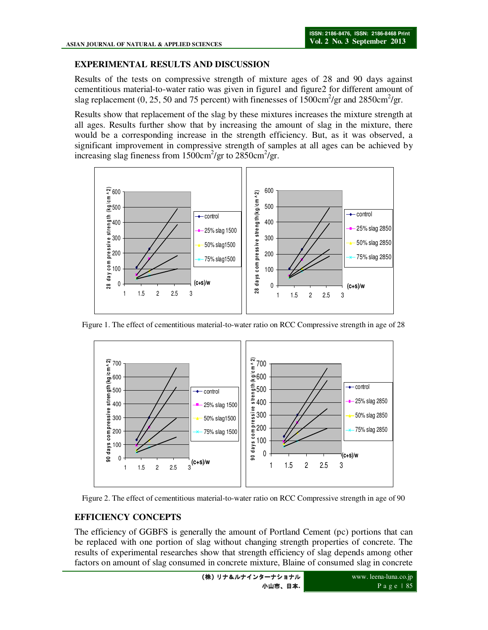### **EXPERIMENTAL RESULTS AND DISCUSSION**

Results of the tests on compressive strength of mixture ages of 28 and 90 days against cementitious material-to-water ratio was given in figure1 and figure2 for different amount of slag replacement (0, 25, 50 and 75 percent) with finenesses of  $1500 \text{cm}^2/\text{gr}$  and  $2850 \text{cm}^2/\text{gr}$ .

Results show that replacement of the slag by these mixtures increases the mixture strength at all ages. Results further show that by increasing the amount of slag in the mixture, there would be a corresponding increase in the strength efficiency. But, as it was observed, a significant improvement in compressive strength of samples at all ages can be achieved by increasing slag fineness from  $1500 \text{cm}^2/\text{gr}$  to  $2850 \text{cm}^2/\text{gr}$ .



Figure 1. The effect of cementitious material-to-water ratio on RCC Compressive strength in age of 28



Figure 2. The effect of cementitious material-to-water ratio on RCC Compressive strength in age of 90

# **EFFICIENCY CONCEPTS**

The efficiency of GGBFS is generally the amount of Portland Cement (pc) portions that can be replaced with one portion of slag without changing strength properties of concrete. The results of experimental researches show that strength efficiency of slag depends among other factors on amount of slag consumed in concrete mixture, Blaine of consumed slag in concrete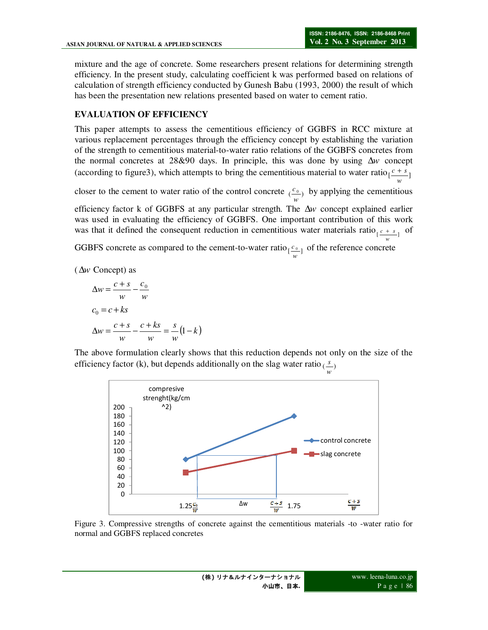*w*

mixture and the age of concrete. Some researchers present relations for determining strength efficiency. In the present study, calculating coefficient k was performed based on relations of calculation of strength efficiency conducted by Gunesh Babu (1993, 2000) the result of which has been the presentation new relations presented based on water to cement ratio.

### **EVALUATION OF EFFICIENCY**

This paper attempts to assess the cementitious efficiency of GGBFS in RCC mixture at various replacement percentages through the efficiency concept by establishing the variation of the strength to cementitious material-to-water ratio relations of the GGBFS concretes from the normal concretes at 28&90 days. In principle, this was done by using ∆*w* concept (according to figure3), which attempts to bring the cementitious material to water ratio $\left[\frac{c+s}{s}\right]$ *w*

closer to the cement to water ratio of the control concrete  $\frac{c_0}{w}$  $\frac{c_{0}}{c_{0}}$  by applying the cementitious

efficiency factor k of GGBFS at any particular strength. The ∆*w* concept explained earlier was used in evaluating the efficiency of GGBFS. One important contribution of this work was that it defined the consequent reduction in cementitious water materials ratio<sub> $[$  $\frac{c + s}{q} ]$  of</sub>

GGBFS concrete as compared to the cement-to-water ratio  $\left[\frac{c_0}{w}\right]$  $c_{\text{o}_1}$  of the reference concrete

(∆*w* Concept) as

$$
\Delta w = \frac{c + s}{w} - \frac{c_0}{w}
$$
  
\n
$$
c_0 = c + ks
$$
  
\n
$$
\Delta w = \frac{c + s}{w} - \frac{c + ks}{w} = \frac{s}{w} (1 - k)
$$

The above formulation clearly shows that this reduction depends not only on the size of the efficiency factor (k), but depends additionally on the slag water ratio  $\left(\frac{s}{w}\right)$ *s*



Figure 3. Compressive strengths of concrete against the cementitious materials -to -water ratio for normal and GGBFS replaced concretes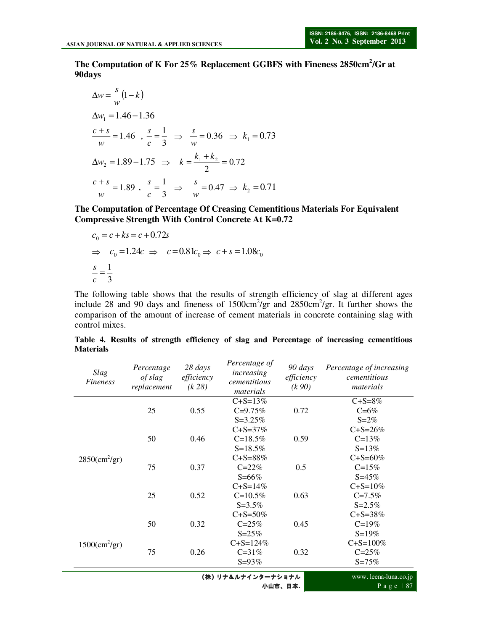**The Computation of K For 25% Replacement GGBFS with Fineness 2850cm<sup>2</sup> /Gr at 90days** 

$$
\Delta w = \frac{s}{w} (1 - k)
$$
  
\n
$$
\Delta w_1 = 1.46 - 1.36
$$
  
\n
$$
\frac{c + s}{w} = 1.46 \quad , \frac{s}{c} = \frac{1}{3} \implies \frac{s}{w} = 0.36 \implies k_1 = 0.73
$$
  
\n
$$
\Delta w_2 = 1.89 - 1.75 \implies k = \frac{k_1 + k_2}{2} = 0.72
$$
  
\n
$$
\frac{c + s}{w} = 1.89 \quad , \frac{s}{c} = \frac{1}{3} \implies \frac{s}{w} = 0.47 \implies k_2 = 0.71
$$

**The Computation of Percentage Of Creasing Cementitious Materials For Equivalent Compressive Strength With Control Concrete At K=0.72**

$$
c_0 = c + ks = c + 0.72s
$$
  
\n
$$
\Rightarrow c_0 = 1.24c \Rightarrow c = 0.81c_0 \Rightarrow c + s = 1.08c_0
$$
  
\n
$$
\frac{s}{c} = \frac{1}{3}
$$

The following table shows that the results of strength efficiency of slag at different ages include 28 and 90 days and fineness of  $1500 \text{cm}^2/\text{gr}$  and  $2850 \text{cm}^2/\text{gr}$ . It further shows the comparison of the amount of increase of cement materials in concrete containing slag with control mixes.

| Slag<br>Fineness                  | Percentage<br>of slag<br>replacement | 28 days<br>efficiency<br>(k 28) | Percentage of<br>increasing<br>cementitious<br>materials | 90 days<br>efficiency<br>(k 90) | Percentage of increasing<br>cementitious<br>materials |
|-----------------------------------|--------------------------------------|---------------------------------|----------------------------------------------------------|---------------------------------|-------------------------------------------------------|
|                                   |                                      |                                 | $C + S = 13\%$                                           |                                 | $C + S = 8\%$                                         |
|                                   | 25                                   | 0.55                            | $C = 9.75%$                                              | 0.72                            | $C = 6\%$                                             |
|                                   |                                      |                                 | $S = 3.25\%$                                             |                                 | $S = 2\%$                                             |
|                                   |                                      |                                 | $C + S = 37\%$                                           |                                 | $C + S = 26\%$                                        |
|                                   | 50                                   | 0.46                            | $C = 18.5\%$                                             | 0.59                            | $C = 13%$                                             |
|                                   |                                      |                                 | $S = 18.5%$                                              |                                 | $S = 13%$                                             |
| $2850 \, \text{(cm}^2\text{/gr})$ |                                      |                                 | $C + S = 88\%$                                           |                                 | $C + S = 60\%$                                        |
|                                   | 75                                   | 0.37                            | $C = 22%$                                                | 0.5                             | $C = 15%$                                             |
|                                   |                                      |                                 | $S = 66\%$                                               |                                 | $S = 45\%$                                            |
|                                   |                                      |                                 | $C + S = 14\%$                                           |                                 | $C + S = 10\%$                                        |
|                                   | 25                                   | 0.52                            | $C=10.5%$                                                | 0.63                            | $C = 7.5%$                                            |
|                                   |                                      |                                 | $S = 3.5%$                                               |                                 | $S = 2.5%$                                            |
|                                   |                                      |                                 | $C + S = 50\%$                                           |                                 | $C + S = 38\%$                                        |
|                                   | 50                                   | 0.32                            | $C = 25%$                                                | 0.45                            | $C = 19%$                                             |
| $1500 \, \text{(cm}^2\text{/gr})$ |                                      |                                 | $S = 25%$                                                |                                 | $S = 19%$                                             |
|                                   |                                      |                                 | $C + S = 124%$                                           |                                 | $C + S = 100\%$                                       |
|                                   | 75                                   | 0.26                            | $C = 31%$                                                | 0.32                            | $C = 25%$                                             |
|                                   |                                      |                                 | $S = 93%$                                                |                                 | $S = 75%$                                             |
|                                   |                                      |                                 | (埃)  十8儿十ノンターナショナル                                       |                                 | www. leena-luna co in                                 |

**Table 4. Results of strength efficiency of slag and Percentage of increasing cementitious Materials** 

(株) リナ&ルナインタ 小山市、日本**.**

www. leena-luna.co.jp P a g e | 87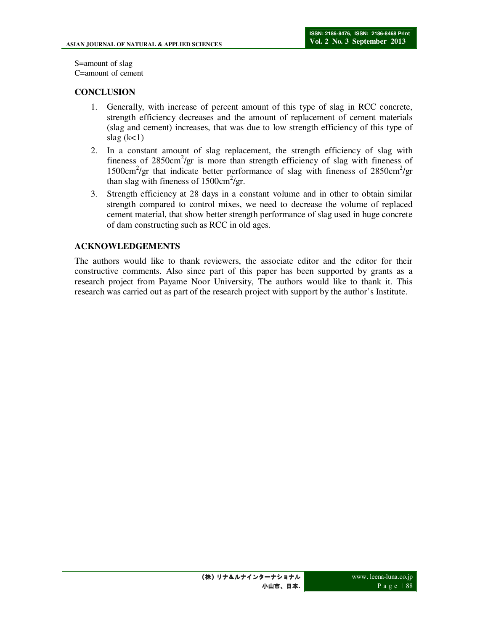S=amount of slag C=amount of cement

# **CONCLUSION**

- 1. Generally, with increase of percent amount of this type of slag in RCC concrete, strength efficiency decreases and the amount of replacement of cement materials (slag and cement) increases, that was due to low strength efficiency of this type of slag  $(k<1)$
- 2. In a constant amount of slag replacement, the strength efficiency of slag with fineness of 2850cm<sup>2</sup>/gr is more than strength efficiency of slag with fineness of 1500cm<sup>2</sup>/gr that indicate better performance of slag with fineness of 2850cm<sup>2</sup>/gr than slag with fineness of  $1500 \text{cm}^2/\text{gr}$ .
- 3. Strength efficiency at 28 days in a constant volume and in other to obtain similar strength compared to control mixes, we need to decrease the volume of replaced cement material, that show better strength performance of slag used in huge concrete of dam constructing such as RCC in old ages.

# **ACKNOWLEDGEMENTS**

The authors would like to thank reviewers, the associate editor and the editor for their constructive comments. Also since part of this paper has been supported by grants as a research project from Payame Noor University, The authors would like to thank it. This research was carried out as part of the research project with support by the author's Institute.